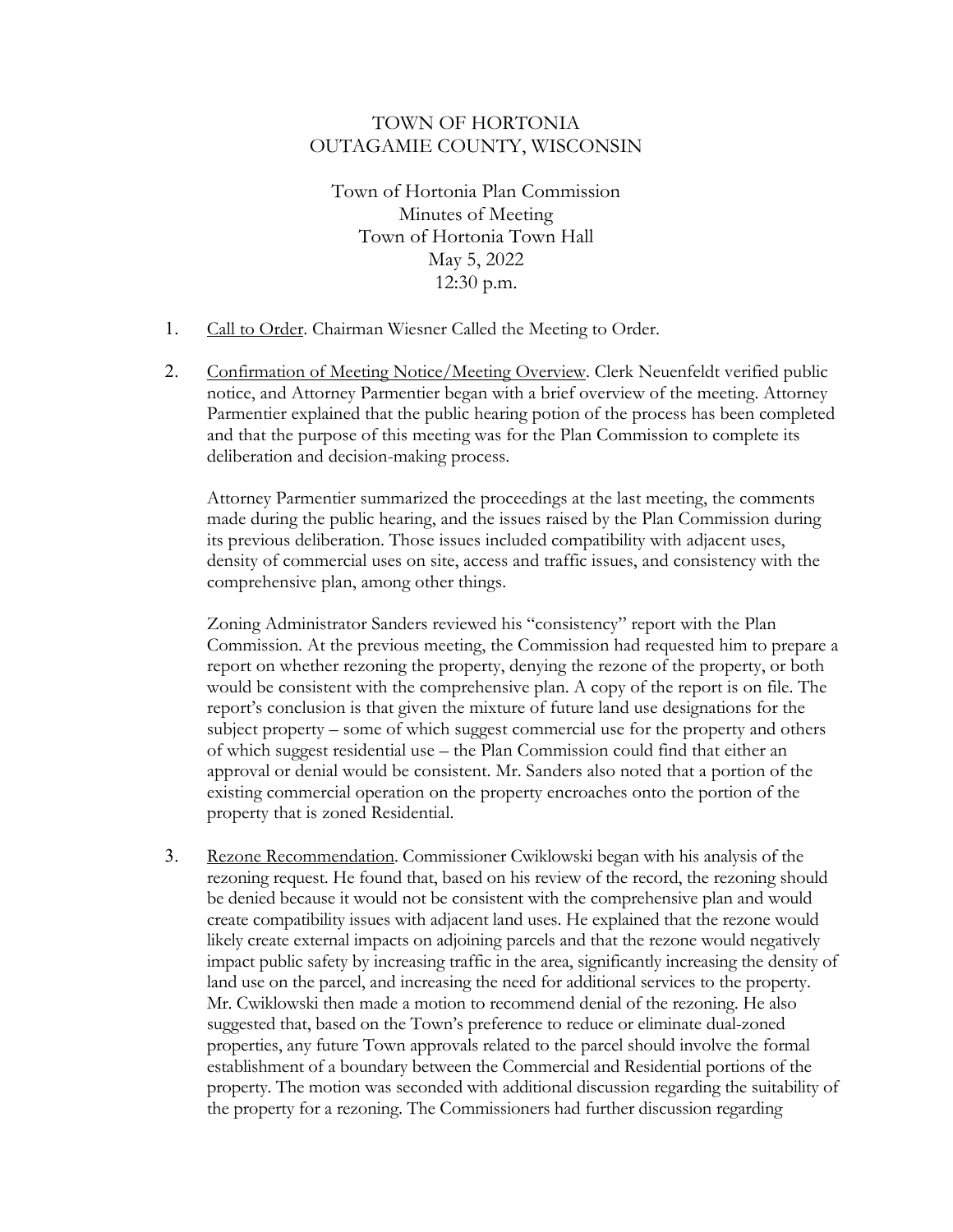## TOWN OF HORTONIA OUTAGAMIE COUNTY, WISCONSIN

Town of Hortonia Plan Commission Minutes of Meeting Town of Hortonia Town Hall May 5, 2022 12:30 p.m.

- 1. Call to Order. Chairman Wiesner Called the Meeting to Order.
- 2. Confirmation of Meeting Notice/Meeting Overview. Clerk Neuenfeldt verified public notice, and Attorney Parmentier began with a brief overview of the meeting. Attorney Parmentier explained that the public hearing potion of the process has been completed and that the purpose of this meeting was for the Plan Commission to complete its deliberation and decision-making process.

Attorney Parmentier summarized the proceedings at the last meeting, the comments made during the public hearing, and the issues raised by the Plan Commission during its previous deliberation. Those issues included compatibility with adjacent uses, density of commercial uses on site, access and traffic issues, and consistency with the comprehensive plan, among other things.

Zoning Administrator Sanders reviewed his "consistency" report with the Plan Commission. At the previous meeting, the Commission had requested him to prepare a report on whether rezoning the property, denying the rezone of the property, or both would be consistent with the comprehensive plan. A copy of the report is on file. The report's conclusion is that given the mixture of future land use designations for the subject property – some of which suggest commercial use for the property and others of which suggest residential use – the Plan Commission could find that either an approval or denial would be consistent. Mr. Sanders also noted that a portion of the existing commercial operation on the property encroaches onto the portion of the property that is zoned Residential.

3. Rezone Recommendation. Commissioner Cwiklowski began with his analysis of the rezoning request. He found that, based on his review of the record, the rezoning should be denied because it would not be consistent with the comprehensive plan and would create compatibility issues with adjacent land uses. He explained that the rezone would likely create external impacts on adjoining parcels and that the rezone would negatively impact public safety by increasing traffic in the area, significantly increasing the density of land use on the parcel, and increasing the need for additional services to the property. Mr. Cwiklowski then made a motion to recommend denial of the rezoning. He also suggested that, based on the Town's preference to reduce or eliminate dual-zoned properties, any future Town approvals related to the parcel should involve the formal establishment of a boundary between the Commercial and Residential portions of the property. The motion was seconded with additional discussion regarding the suitability of the property for a rezoning. The Commissioners had further discussion regarding